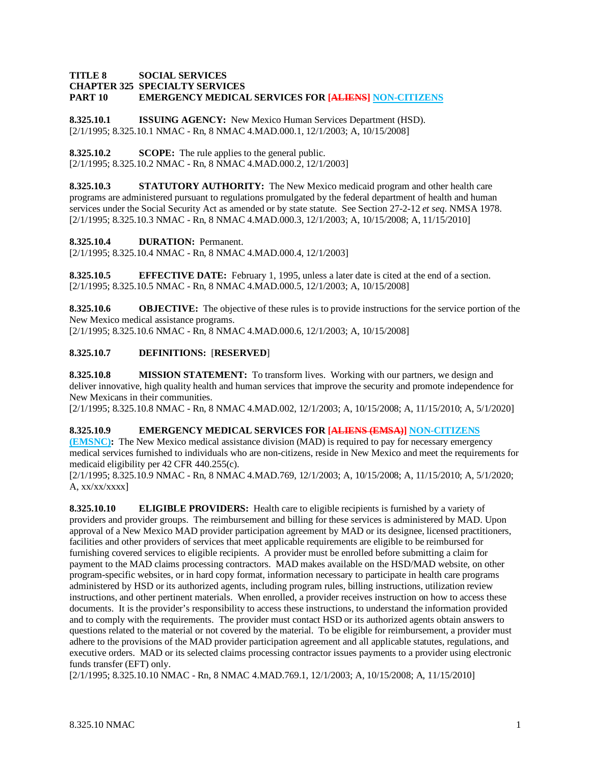#### **TITLE 8 SOCIAL SERVICES CHAPTER 325 SPECIALTY SERVICES PART 10 EMERGENCY MEDICAL SERVICES FOR [ALIENS] NON-CITIZENS**

**8.325.10.1 ISSUING AGENCY:** New Mexico Human Services Department (HSD). [2/1/1995; 8.325.10.1 NMAC - Rn, 8 NMAC 4.MAD.000.1, 12/1/2003; A, 10/15/2008]

**8.325.10.2 SCOPE:** The rule applies to the general public. [2/1/1995; 8.325.10.2 NMAC - Rn, 8 NMAC 4.MAD.000.2, 12/1/2003]

**8.325.10.3 STATUTORY AUTHORITY:** The New Mexico medicaid program and other health care programs are administered pursuant to regulations promulgated by the federal department of health and human services under the Social Security Act as amended or by state statute. See Section 27-2-12 *et seq*. NMSA 1978. [2/1/1995; 8.325.10.3 NMAC - Rn, 8 NMAC 4.MAD.000.3, 12/1/2003; A, 10/15/2008; A, 11/15/2010]

**8.325.10.4 DURATION:** Permanent.

[2/1/1995; 8.325.10.4 NMAC - Rn, 8 NMAC 4.MAD.000.4, 12/1/2003]

**8.325.10.5 EFFECTIVE DATE:** February 1, 1995, unless a later date is cited at the end of a section. [2/1/1995; 8.325.10.5 NMAC - Rn, 8 NMAC 4.MAD.000.5, 12/1/2003; A, 10/15/2008]

**8.325.10.6 OBJECTIVE:** The objective of these rules is to provide instructions for the service portion of the New Mexico medical assistance programs. [2/1/1995; 8.325.10.6 NMAC - Rn, 8 NMAC 4.MAD.000.6, 12/1/2003; A, 10/15/2008]

**8.325.10.7 DEFINITIONS:** [**RESERVED**]

**8.325.10.8 MISSION STATEMENT:** To transform lives. Working with our partners, we design and deliver innovative, high quality health and human services that improve the security and promote independence for New Mexicans in their communities.

[2/1/1995; 8.325.10.8 NMAC - Rn, 8 NMAC 4.MAD.002, 12/1/2003; A, 10/15/2008; A, 11/15/2010; A, 5/1/2020]

## **8.325.10.9 EMERGENCY MEDICAL SERVICES FOR [ALIENS (EMSA)] NON-CITIZENS**

**(EMSNC):** The New Mexico medical assistance division (MAD) is required to pay for necessary emergency medical services furnished to individuals who are non-citizens, reside in New Mexico and meet the requirements for medicaid eligibility per 42 CFR 440.255(c).

[2/1/1995; 8.325.10.9 NMAC - Rn, 8 NMAC 4.MAD.769, 12/1/2003; A, 10/15/2008; A, 11/15/2010; A, 5/1/2020; A,  $xx/xx/xxx$ ]

**8.325.10.10 ELIGIBLE PROVIDERS:** Health care to eligible recipients is furnished by a variety of providers and provider groups. The reimbursement and billing for these services is administered by MAD. Upon approval of a New Mexico MAD provider participation agreement by MAD or its designee, licensed practitioners, facilities and other providers of services that meet applicable requirements are eligible to be reimbursed for furnishing covered services to eligible recipients. A provider must be enrolled before submitting a claim for payment to the MAD claims processing contractors. MAD makes available on the HSD/MAD website, on other program-specific websites, or in hard copy format, information necessary to participate in health care programs administered by HSD or its authorized agents, including program rules, billing instructions, utilization review instructions, and other pertinent materials. When enrolled, a provider receives instruction on how to access these documents. It is the provider's responsibility to access these instructions, to understand the information provided and to comply with the requirements. The provider must contact HSD or its authorized agents obtain answers to questions related to the material or not covered by the material. To be eligible for reimbursement, a provider must adhere to the provisions of the MAD provider participation agreement and all applicable statutes, regulations, and executive orders. MAD or its selected claims processing contractor issues payments to a provider using electronic funds transfer (EFT) only.

[2/1/1995; 8.325.10.10 NMAC - Rn, 8 NMAC 4.MAD.769.1, 12/1/2003; A, 10/15/2008; A, 11/15/2010]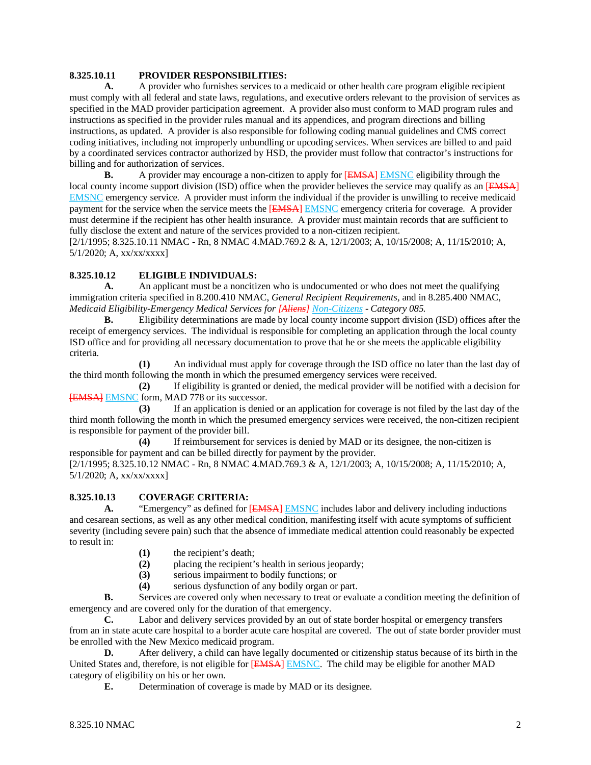## **8.325.10.11 PROVIDER RESPONSIBILITIES:**

**A.** A provider who furnishes services to a medicaid or other health care program eligible recipient must comply with all federal and state laws, regulations, and executive orders relevant to the provision of services as specified in the MAD provider participation agreement. A provider also must conform to MAD program rules and instructions as specified in the provider rules manual and its appendices, and program directions and billing instructions, as updated. A provider is also responsible for following coding manual guidelines and CMS correct coding initiatives, including not improperly unbundling or upcoding services. When services are billed to and paid by a coordinated services contractor authorized by HSD, the provider must follow that contractor's instructions for billing and for authorization of services.

**B.** A provider may encourage a non-citizen to apply for [EMSA] EMSNC eligibility through the local county income support division (ISD) office when the provider believes the service may qualify as an [EMSA] EMSNC emergency service. A provider must inform the individual if the provider is unwilling to receive medicaid payment for the service when the service meets the [EMSA] EMSNC emergency criteria for coverage. A provider must determine if the recipient has other health insurance. A provider must maintain records that are sufficient to fully disclose the extent and nature of the services provided to a non-citizen recipient.

[2/1/1995; 8.325.10.11 NMAC - Rn, 8 NMAC 4.MAD.769.2 & A, 12/1/2003; A, 10/15/2008; A, 11/15/2010; A, 5/1/2020; A, xx/xx/xxxx]

## **8.325.10.12 ELIGIBLE INDIVIDUALS:**

**A.** An applicant must be a noncitizen who is undocumented or who does not meet the qualifying immigration criteria specified in 8.200.410 NMAC, *General Recipient Requirements,* and in 8.285.400 NMAC, *Medicaid Eligibility-Emergency Medical Services for [Aliens] Non-Citizens - Category 085.*

**B.** Eligibility determinations are made by local county income support division (ISD) offices after the receipt of emergency services. The individual is responsible for completing an application through the local county ISD office and for providing all necessary documentation to prove that he or she meets the applicable eligibility criteria.

**(1)** An individual must apply for coverage through the ISD office no later than the last day of the third month following the month in which the presumed emergency services were received.

**(2)** If eligibility is granted or denied, the medical provider will be notified with a decision for **[EMSA] EMSNC** form, MAD 778 or its successor.

**(3)** If an application is denied or an application for coverage is not filed by the last day of the third month following the month in which the presumed emergency services were received, the non-citizen recipient is responsible for payment of the provider bill.<br>(4) If reimbursement for

**(4)** If reimbursement for services is denied by MAD or its designee, the non-citizen is responsible for payment and can be billed directly for payment by the provider.

[2/1/1995; 8.325.10.12 NMAC - Rn, 8 NMAC 4.MAD.769.3 & A, 12/1/2003; A, 10/15/2008; A, 11/15/2010; A, 5/1/2020; A, xx/xx/xxxx]

# **8.325.10.13 COVERAGE CRITERIA:**

A. "Emergency" as defined for **[EMSA]** EMSNC includes labor and delivery including inductions and cesarean sections, as well as any other medical condition, manifesting itself with acute symptoms of sufficient severity (including severe pain) such that the absence of immediate medical attention could reasonably be expected to result in:

- **(1)** the recipient's death;
- (2) placing the recipient's health in serious jeopardy;<br>(3) serious impairment to bodily functions: or
- **(3)** serious impairment to bodily functions; or
- **(4)** serious dysfunction of any bodily organ or part.

**B.** Services are covered only when necessary to treat or evaluate a condition meeting the definition of emergency and are covered only for the duration of that emergency.

**C.** Labor and delivery services provided by an out of state border hospital or emergency transfers from an in state acute care hospital to a border acute care hospital are covered. The out of state border provider must be enrolled with the New Mexico medicaid program.

**D.** After delivery, a child can have legally documented or citizenship status because of its birth in the United States and, therefore, is not eligible for [EMSA] EMSNC. The child may be eligible for another MAD category of eligibility on his or her own.

**E.** Determination of coverage is made by MAD or its designee.